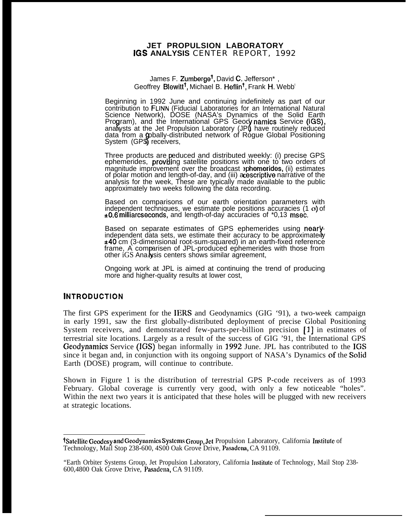## **JET PROPULSION LABORATORY IGS ANALYSIS** CENTER REPORT, 1992

James F. Zumberge<sup>t</sup>, David C. Jefferson<sup>\*</sup>, Geoffrey Blewitt<sup>†</sup>, Michael B. Heflin<sup>†</sup>, Frank H, Webb<sup>t</sup>

Beginning in 1992 June and continuing indefinitely as part of our contribution to FLINN (Fiducial Laboratories for an International Natural Science Network), DOSE (NASA's Dynamics of the Solid Earth Program), and the International GPS Geocynamics Service (IGS) analysts at the Jet Propulsion Laboratory (JPI) have routinely reduced data from a gobally-distributed network of Rogue Global Positioning System (GPS) receivers,

Three products are peduced and distributed weekly: (i) precise GPS<br>ephemerides, **providing** satellite positions with one to two orders of magnitude improvement over the broadcast sphemerides, (ii) estimates of polar motion and length-of-day, and (iii) acescriptive narrative of the analysis for the week, These are typically made available to the public approximately two weeks following the data recording.

Based on comparisons of our earth orientation parameters with independent techniques, we estimate pole positions accuracies  $(1 \circ)$  of \*0,6 milliarcseconds, and length-of-day accuracies of \*0,13 msec,

Based on separate estimates of GPS ephemerides using nearlybased on separate estimates of GFS ephemendes using neary-<br>independent data sets, we estimate their accuracy to be approximately ±40 cm (3-dimensional root-sum-squared) in an earth-fixed reference frame, A comparisen of JPL-produced ephemerides with those from other iGS Analysis centers shows similar agreement,

Ongoing work at JPL is aimed at continuing the trend of producing more and higher-quality results at lower cost,

## **INTRODUCTION**

The first GPS experiment for the IERS and Geodynamics (GIG '91), a two-week campaign in early 1991, saw the first globally-distributed deployment of precise Global Positioning System receivers, and demonstrated few-parts-per-billion precision [1] in estimates of terrestrial site locations. Largely as a result of the success of GIG '91, the International GPS Geodynamics Service (IGS) began informally in 1992 June. JPL has contributed to the IGS since it began and, in conjunction with its ongoing support of NASA's Dynamics of the Solid Earth (DOSE) program, will continue to contribute.

Shown in Figure 1 is the distribution of terrestrial GPS P-code receivers as of 1993 February. Global coverage is currently very good, with only a few noticeable "holes". Within the next two years it is anticipated that these holes will be plugged with new receivers at strategic locations.

<sup>&</sup>lt;sup>†</sup>Satellite Geodesy and Geodynamics Systems Group, Jet Propulsion Laboratory, California Institute of Technology, Mail Stop 238-600, 4S00 Oak Grove Drive, Pasadena, CA 91109.

<sup>&</sup>quot;Earth Orbiter Systems Group, Jet Propulsion Laboratory, California Imtitutc of Technology, Mail Stop 238- 600,4800 Oak Grove Drive, Pasadcma, CA 91109.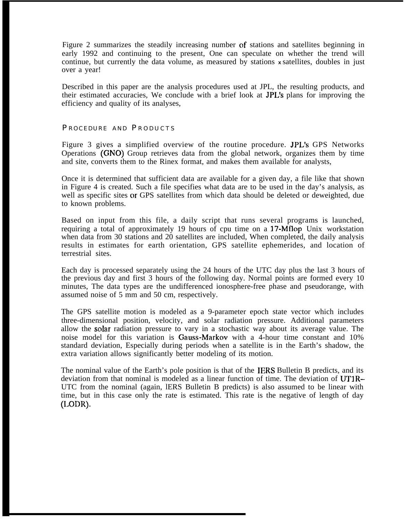Figure 2 summarizes the steadily increasing number of stations and satellites beginning in early 1992 and continuing to the present, One can speculate on whether the trend will continue, but currently the data volume, as measured by stations **<sup>x</sup>**satellites, doubles in just over a year!

Described in this paper are the analysis procedures used at JPL, the resulting products, and their estimated accuracies, We conclude with a brief look at JPL's plans for improving the efficiency and quality of its analyses,

## PROCEDURE AND PRODUCTS

Figure 3 gives a simplified overview of the routine procedure. JPL's GPS Networks Operations (GNO) Group retrieves data from the global network, organizes them by time and site, converts them to the Rinex format, and makes them available for analysts,

Once it is determined that sufficient data are available for a given day, a file like that shown in Figure 4 is created. Such a file specifies what data are to be used in the day's analysis, as well as specific sites or GPS satellites from which data should be deleted or deweighted, due to known problems.

Based on input from this file, a daily script that runs several programs is launched, requiring a total of approximately 19 hours of cpu time on a 17-Mflop Unix workstation when data from 30 stations and 20 satellites are included, When completed, the daily analysis results in estimates for earth orientation, GPS satellite ephemerides, and location of terrestrial sites.

Each day is processed separately using the 24 hours of the UTC day plus the last 3 hours of the previous day and first 3 hours of the following day. Normal points are formed every 10 minutes, The data types are the undifferenced ionosphere-free phase and pseudorange, with assumed noise of 5 mm and 50 cm, respectively.

The GPS satellite motion is modeled as a 9-parameter epoch state vector which includes three-dimensional position, velocity, and solar radiation pressure. Additional parameters allow the solar radiation pressure to vary in a stochastic way about its average value. The noise model for this variation is Gauss-Markov with a 4-hour time constant and 10% standard deviation, Especially during periods when a satellite is in the Earth's shadow, the extra variation allows significantly better modeling of its motion.

The nominal value of the Earth's pole position is that of the IERS Bulletin B predicts, and its deviation from that nominal is modeled as a linear function of time. The deviation of UTIR– UTC from the nominal (again, lERS Bulletin B predicts) is also assumed to be linear with time, but in this case only the rate is estimated. This rate is the negative of length of day (LODR).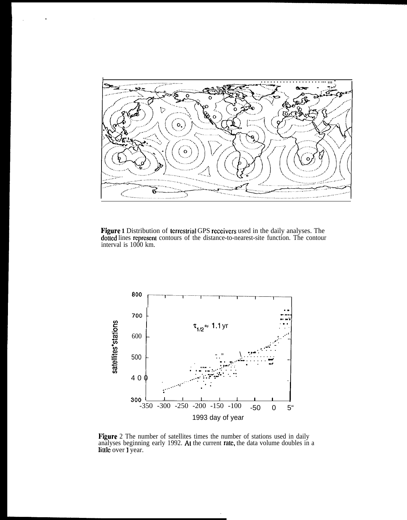

Figure **1** Distribution of lcrrcstrial GPS rcccivcrs used in the daily analyses. The dotted lines represent contours of the distance-to-nearest-site function. The contour interval is 1000 km.



**Figure** 2 The number of satellites times the number of stations used in daily analyses beginning early 1992. At the current rate, the data volume doubles in a little over 1 year.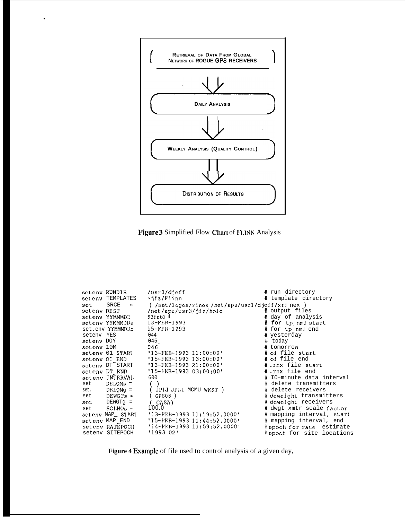

.



| seteny RUNDIR |                  | $\sqrt{u}$ sr $3/d$ jeff                      | # run directory           |
|---------------|------------------|-----------------------------------------------|---------------------------|
|               | seteny TEMPLATES | ~ifz/Flinn                                    | # template directory      |
| set           | SRCE             | (//net/logos/rinex/net/apu/usr1/djeff/xrinex) |                           |
| seteny DEST   |                  | /net/apu/usr3/jfz/hold                        | # output files            |
|               | seteny YYMMMDD   | $93$ feb $14$                                 | # day of analysis         |
|               | setenv YYMMMDDa  | $13 - FEB - 1993$                             | # for tp nml start        |
|               | set.env YYMMMDDb | $15 - FEB - 1993$                             | # for tp nml end          |
| seteny YES    |                  | 044                                           | # yesterday               |
| seteny DOY    |                  | 045                                           | # today                   |
| setenv 10M    |                  | 046                                           | # tomorrow                |
|               | seteny 01 START  | $'13-FEB-199311:00:00'$                       | # oi file start           |
| seteny OI END |                  | $'15-FEB-1993$ $13:00:00'$                    | # oi file end             |
|               | setenv DT START  | $'13 - FEB - 199321:00:00'$                   | #.rnx file start          |
|               | seteny DT END    | $'15-FEB-199303:00:00'$                       | #.rnx file end            |
|               | seteny INTERVAL  | 600                                           | # IO-minute data interval |
| set           | $DELOMs =$       |                                               | # delete transmitters     |
|               | set. DELQMg =    | ( JPIJ JPLI MCMU WEST )                       | # delete receivers        |
| set           | $DEWG$ 's =      | (GPSO8)                                       | # deweight transmitters   |
|               | $set$ DEWGTq =   | ( CASA)                                       | # deweight receivers      |
| set           | SCINOs =         | 100.0                                         | # dwgt xmtr scale factor  |
|               |                  | seteny MAP_ START '13-FEB-1993 11:59:52.0000' | # mapping interval, start |
|               | setenv MAP END   | $'15-FEB-199311:44:52.0000'$                  | # mapping interval, end   |
|               | seteny RATEPOCH  | $'14 - FEB - 1993$ $11:59:52.0000$            | #epoch for rate estimate  |
|               | seteny SITEPOCH  | '1993 02'                                     | #epoch for site locations |
|               |                  |                                               |                           |

Figure 4 Example of file used to control analysis of a given day,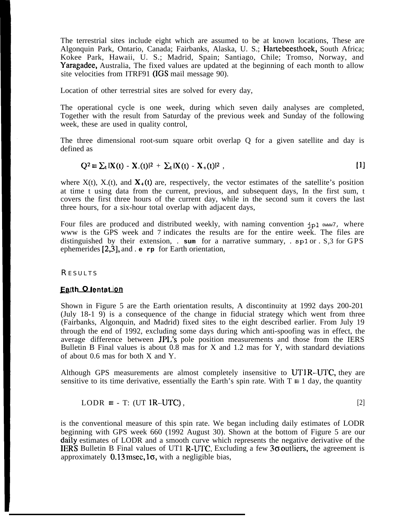The terrestrial sites include eight which are assumed to be at known locations, These are Algonquin Park, Ontario, Canada; Fairbanks, Alaska, U. S.; Hartebeesthoek, South Africa; Kokee Park, Hawaii, U. S.; Madrid, Spain; Santiago, Chile; Tromso, Norway, and Yaragadee, Australia, The fixed values are updated at the beginning of each month to allow site velocities from ITRF91 (IGS mail message 90).

Location of other terrestrial sites are solved for every day,

The operational cycle is one week, during which seven daily analyses are completed, Together with the result from Saturday of the previous week and Sunday of the following week, these are used in quality control,

The three dimensional root-sum square orbit overlap Q for a given satellite and day is defined as

$$
Q^{2} \equiv \sum_{t} |X(t) - X_{-}(t)|^{2} + \sum_{t} |X(t) - X_{+}(t)|^{2}, \qquad [1]
$$

where  $X(t)$ ,  $X(t)$ , and  $X_+(t)$  are, respectively, the vector estimates of the satellite's position at time t using data from the current, previous, and subsequent days, In the first sum, t covers the first three hours of the current day, while in the second sum it covers the last three hours, for a six-hour total overlap with adjacent days,

Four files are produced and distributed weekly, with naming convention **jpl** 0WWW7, where www is the GPS week and 7 indicates the results are for the entire week. The files are distinguished by their extension, .  $\mathbf{sum}$  for a narrative summary, .  $\mathbf{sp1}$  or .  $\mathbf{S}_n$  or GPS ephemerides [2,3], and . **e rp** for Earth orientation,

## **RESULTS**

## Earth O lentation

Shown in Figure 5 are the Earth orientation results, A discontinuity at 1992 days 200-201 (July 18-1 9) is a consequence of the change in fiducial strategy which went from three (Fairbanks, Algonquin, and Madrid) fixed sites to the eight described earlier. From July 19 through the end of 1992, excluding some days during which anti-spoofing was in effect, the average difference between JPL's pole position measurements and those from the IERS Bulletin B Final values is about 0.8 mas for X and 1.2 mas for Y, with standard deviations of about 0.6 mas for both X and Y.

Although GPS measurements are almost completely insensitive to  $UTIR-UTC$ , they are sensitive to its time derivative, essentially the Earth's spin rate. With  $T \equiv 1$  day, the quantity

$$
LODR \equiv -T: (UT 1R-UTC), \qquad [2]
$$

is the conventional measure of this spin rate. We began including daily estimates of LODR beginning with GPS week 660 (1992 August 30). Shown at the bottom of Figure 5 are our daily estimates of LODR and a smooth curve which represents the negative derivative of the **IERS** Bulletin B Final values of UT1 R-UTC, Excluding a few  $3\sigma$  outliers, the agreement is approximately  $0.13$  msec,  $1\sigma$ , with a negligible bias,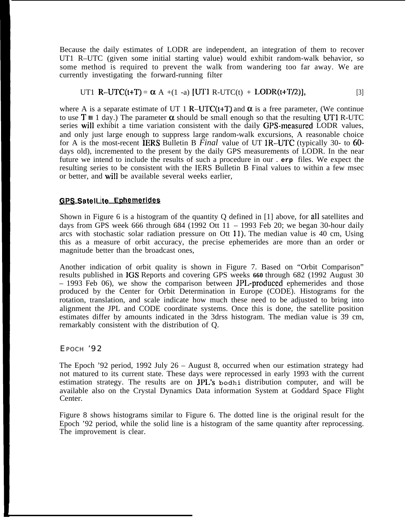Because the daily estimates of LODR are independent, an integration of them to recover UT1 R–UTC (given some initial starting value) would exhibit random-walk behavior, so some method is required to prevent the walk from wandering too far away. We are currently investigating the forward-running filter

UT1 R-UTC(t+T) = 
$$
\alpha
$$
 A +(1 -a) [UT1 R-UTC(t) + LODR(t+T/2)], [3]

where A is a separate estimate of UT 1 R–UTC(t+T) and  $\alpha$  is a free parameter, (We continue to use  $T \equiv 1$  day.) The parameter  $\alpha$  should be small enough so that the resulting UT1 R-UTC series will exhibit a time variation consistent with the daily GPS-measured LODR values, and only just large enough to suppress large random-walk excursions, A reasonable choice for A is the most-recent IERS Bulletin B *Final* value of UT IR-UTC (typically 30- to 60 days old), incremented to the present by the daily GPS measurements of LODR. In the near future we intend to include the results of such a procedure in our . **erp** files. We expect the resulting series to be consistent with the IERS Bulletin B Final values to within a few msec or better, and will be available several weeks earlier,

## *GPS* SatelLite Ephemerides

Shown in Figure 6 is a histogram of the quantity Q defined in [1] above, for all satellites and days from GPS week 666 through 684 (1992 Ott 11 – 1993 Feb 20; we began 30-hour daily arcs with stochastic solar radiation pressure on Ott 11). The median value is 40 cm, Using this as a measure of orbit accuracy, the precise ephemerides are more than an order or magnitude better than the broadcast ones,

Another indication of orbit quality is shown in Figure 7. Based on "Orbit Comparison" results published in IGS Reports and covering GPS weeks **660** through 682 (1992 August 30 – 1993 Feb 06), we show the comparison between JPL-produced ephemerides and those produced by the Center for Orbit Determination in Europe (CODE). Histograms for the rotation, translation, and scale indicate how much these need to be adjusted to bring into alignment the JPL and CODE coordinate systems. Once this is done, the satellite position estimates differ by amounts indicated in the 3drss histogram. The median value is 39 cm, remarkably consistent with the distribution of Q.

# EPOCH '92

The Epoch '92 period, 1992 July 26 – August 8, occurred when our estimation strategy had not matured to its current state. These days were reprocessed in early 1993 with the current estimation strategy. The results are on JPL's **bodhi** distribution computer, and will be available also on the Crystal Dynamics Data information System at Goddard Space Flight Center.

Figure 8 shows histograms similar to Figure 6. The dotted line is the original result for the Epoch '92 period, while the solid line is a histogram of the same quantity after reprocessing. The improvement is clear.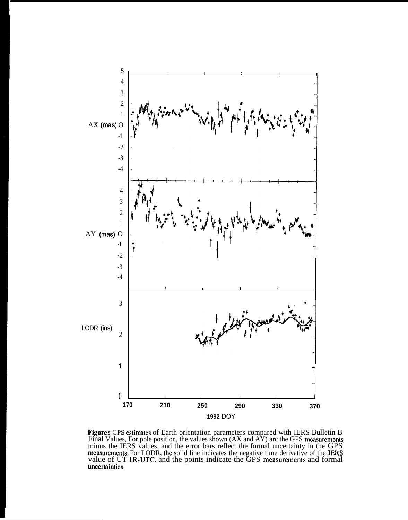

**Figure** 5 GPS estimates of Earth orientation parameters compared with IERS Bulletin B Final Values, For pole position, the values shown  $(AX \text{ and } AY)$  arc the GPS measurement minus the IERS values, and the error bars reflect the formal uncertainty in the GPS mcasurements. For LODR, the solid line indicates the negative time derivative of the IERS value of UT 1R-UTC, and the points indicate the GPS measurements and formal unccrtaintics,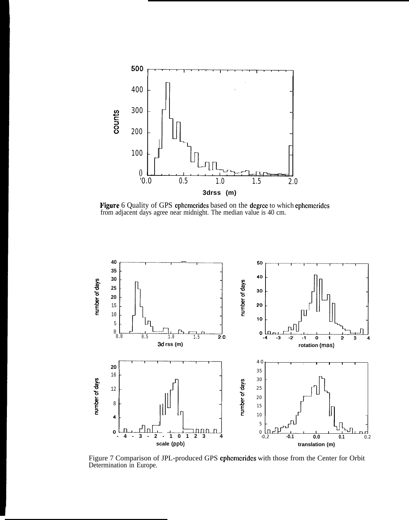

Figure 6 Quality of GPS ephemerides based on the degree to which ephemerides from adjacent days agree near midnight. The median value is 40 cm.



Figure 7 Comparison of JPL-produced GPS cphcmcridcs with those from the Center for Orbit Determination in Europe.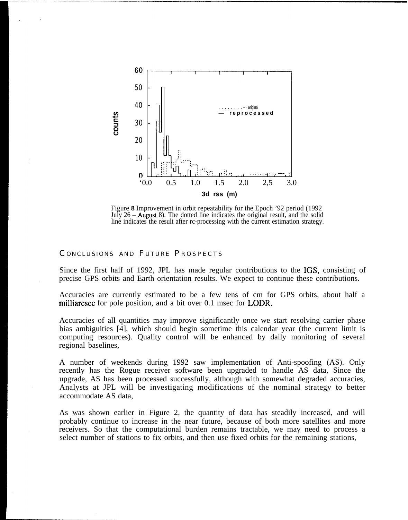

Figure **8** Improvement in orbit repeatability for the Epoch '92 period (1992 July  $26 -$  August 8). The dotted line indicates the original result, and the solid line indicates the result after rc-processing with the current estimation strategy.

#### CONCLUSIONS AND FUTURE PROSPECTS

Since the first half of 1992, JPL has made regular contributions to the IGS, consisting of precise GPS orbits and Earth orientation results. We expect to continue these contributions.

Accuracies are currently estimated to be a few tens of cm for GPS orbits, about half a milliarcsec for pole position, and a bit over 0.1 msec for LODR,

Accuracies of all quantities may improve significantly once we start resolving carrier phase bias ambiguities [4], which should begin sometime this calendar year (the current limit is computing resources). Quality control will be enhanced by daily monitoring of several regional baselines,

A number of weekends during 1992 saw implementation of Anti-spoofing (AS). Only recently has the Rogue receiver software been upgraded to handle AS data, Since the upgrade, AS has been processed successfully, although with somewhat degraded accuracies, Analysts at JPL will be investigating modifications of the nominal strategy to better accommodate AS data,

As was shown earlier in Figure 2, the quantity of data has steadily increased, and will probably continue to increase in the near future, because of both more satellites and more receivers. So that the computational burden remains tractable, we may need to process a select number of stations to fix orbits, and then use fixed orbits for the remaining stations,